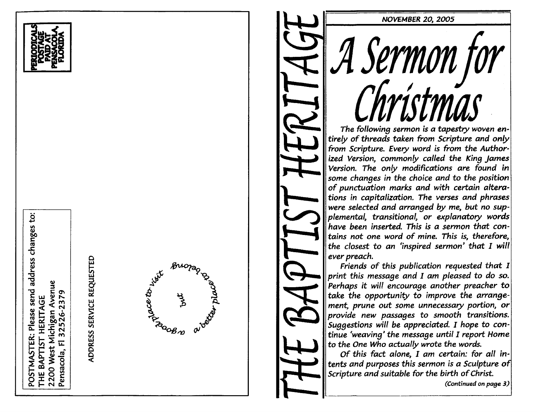POSTMASTER: Please send address changes to: 2200 West Michigan Avenue 32526-2379 THE BAPTIST HERITAGE  $\overline{\mathbf{L}}$ Pensacola,



ADDRESS SERVICE REQUESTED



# NOVEMBER 20, 2005 The tollowina sermon is a tapestry woven en Sermon foi<br>Thríctmas tirely of threads taken from Scripture and only from Scripture. Every word is from the Author ized Version, commonly called the King James Version. The only modifications are found in some changes in the choice and to the position of punctuation marks and with certain altera tions in capitalization. The verses and phrases were selected and arranged by me, but no sup plemental, transitional, or explanatory words have been inserted. This is a sermon that contains not one word of mine. This is, therefore, the closest to an 'inspired sermon' that  $I$  will ever preach.

Friends of this publication requested that I print this message and I am pleased to do so. Perhaps it will encourage another preacher to take the opportunity to improve the arrange ment, prune out some unnecessary portion, or provide new passages to smooth transitions. Suggestions will be appreciated. I hope to continue 'weaving' the message until I report Home to the One Who actually wrote the words.

Of this fact alone,  $I$  am certain: for all intents and purposes this sermon is a Sculpture of Scripture and suitable for the birth of Christ.

(Continued on page 3)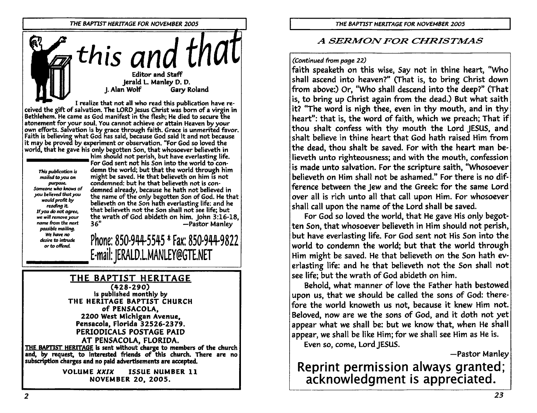

I realize that not all who read this publication have received the gift of salvation. The LORD Jesus Christ was born of a virgin in Bethlehem. He came as God manifest in the flesh; He died to secure the atonement for your soul, You cannot achieve or attain Heaven by your own efforts. Salvation is by grace through faith. Grace is unmerited favor. Faith is believing what God has said, because God said it and not because it may be proved by experiment or observation. "For God so loved the world, that he gave his only begotten Son, that whosoever believeth in

This publication is mailed to you on purpose. Someone who knows of you believed that you would profit by reading it. If you do not agree, we will remove your name from the next possible mailing. We have no desire to intrude or to offend

him should not perish, but have everlasting life. For God sent not his Son into the world to condemn the world; but that the world through him might be saved. He that believeth on him is not condemned: but he that believeth not is condemned already, because he hath not believed in the name of the only begotten Son of God. He that believeth on the Son hath everlasting life: and he that believeth not the Son shall not see life; but the wrath of God abideth on him. John 3:16-18,  $36"$ -Pastor Manley

Phone: 850-944-5545 \* Fax: 850-944-9822 E-mail: JERALD.L.MANLEY@GTE.NET

## THE BAPTIST HERITAGE

 $(428-290)$ is published monthly by THE HERITAGE BAPTIST CHURCH of PENSACOLA. 2200 West Michigan Avenue, Pensacola, Florida 32526-2379. PERIODICALS POSTAGE PAID AT PENSACOLA, FLORIDA.

THE BAPTIST HERITAGE is sent without charge to members of the church and, by request, to interested friends of this church. There are no subscription charges and no paid advertisements are accepted.

> **VOLUME XXIX** ISSUE NUMBER 11 **NOVEMBER 20, 2005.**

## A SERMON FOR CHRISTMAS

#### (Continued from page 22)

faith speaketh on this wise, Say not in thine heart, "Who shall ascend into heaven?" (That is, to bring Christ down from above:) Or, "Who shall descend into the deep?" (That is, to bring up Christ again from the dead.) But what saith it? "The word is nigh thee, even in thy mouth, and in thy heart": that is, the word of faith, which we preach; That if thou shalt confess with thy mouth the Lord JESUS, and shalt believe in thine heart that God hath raised Him from the dead, thou shalt be saved. For with the heart man believeth unto righteousness; and with the mouth, confession is made unto salvation. For the scripture saith, "Whosoever believeth on Him shall not be ashamed." For there is no difference between the Jew and the Greek: for the same Lord over all is rich unto all that call upon Him. For whosoever shall call upon the name of the Lord shall be saved.

For God so loved the world, that He gave His only begotten Son, that whosoever believeth in Him should not perish, but have everlasting life. For God sent not His Son into the world to condemn the world; but that the world through Him might be saved. He that believeth on the Son hath everlasting life: and he that believeth not the Son shall not see life; but the wrath of God abideth on him.

Behold, what manner of love the Father hath bestowed upon us, that we should be called the sons of God: therefore the world knoweth us not, because it knew Him not. Beloved, now are we the sons of God, and it doth not yet appear what we shall be: but we know that, when He shall appear, we shall be like Him; for we shall see Him as He is.

Even so, come, Lord JESUS.

-Pastor Manley

Reprint permission always granted; acknowledgment is appreciated.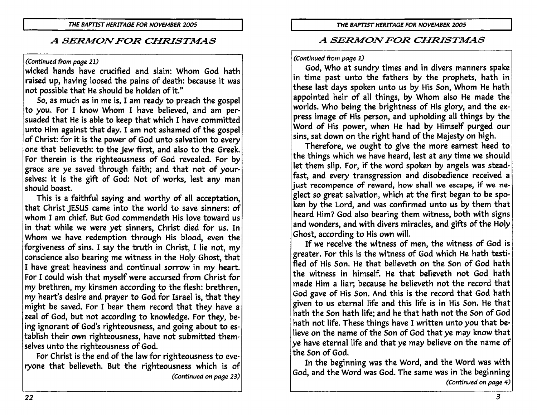## (Continued from page 21)

wicked hands have crucified and slain: Whom God hath raised up, having loosed the pains of death: because it was not possible that He should be holden of it."

So, as much as in me is, I am ready to preach the gospel to you. For I know Whom I have believed, and am persuaded that He is able to keep that which I have committed unto Him against that day. I am not ashamed of the gospel of Christ: for it is the power of God unto salvation to every one that believeth: to the Jew first, and also to the Greek. For therein is the righteousness of God revealed. For by grace are ye saved through faith; and that not of yourselves: it is the gift of God: Not of works, lest any man should boast.

This is a faithful saying and worthy of all acceptation, that Christ JESUS came into the world to save sinners: of whom I am chief. But God commendeth His love toward us in that while we were yet sinners, Christ died for us. In Whom we have redemption through His blood, even the forgiveness of sins. I say the truth in Christ, I lie not, my conscience also bearing me witness in the Holy Ghost, that I have great heaviness and continual sorrow in my heart. For I could wish that myself were accursed from Christ for my brethren, my kinsmen according to the flesh: brethren, my heart's desire and prayer to God for Israel is, that they might be saved. For I bear them record that they have a zeal of God, but not according to knowledge. For they, being ignorant of God's righteousness, and going about to establish their own righteousness, have not submitted themselves unto the righteousness of God.

For Christ is the end of the law for righteousness to everyone that believeth. But the righteousness which is of (Continued on page 23)

## A SERMON FOR CHRISTMAS

## (Continued from page 1)

God, Who at sundry times and in divers manners spake in time past unto the fathers by the prophets, hath in these last days spoken unto us by His Son, Whom He hath appointed heir of all things, by Whom also He made the worlds. Who being the brightness of His glory, and the express image of His person, and upholding all things by the Word of His power, when He had by Himself purged our sins, sat down on the right hand of the Majesty on high.

Therefore, we ought to give the more earnest heed to the things which we have heard, lest at any time we should let them slip. For, if the word spoken by angels was steadfast, and every transgression and disobedience received a just recompence of reward, how shall we escape, if we neglect so great salvation, which at the first began to be spoken by the Lord, and was confirmed unto us by them that heard Him? God also bearing them witness, both with signs and wonders, and with divers miracles, and gifts of the Holy Ghost, according to His own will.

If we receive the witness of men, the witness of God is greater. For this is the witness of God which He hath testified of His Son. He that believeth on the Son of God hath the witness in himself. He that believeth not God hath made Him a liar; because he believeth not the record that God gave of His Son. And this is the record that God hath given to us eternal life and this life is in His Son. He that hath the Son hath life; and he that hath not the Son of God hath not life. These things have I written unto you that believe on the name of the Son of God that ye may know that ye have eternal life and that ye may believe on the name of the Son of God.

In the beginning was the Word, and the Word was with God, and the Word was God. The same was in the beginning (Continued on page 4)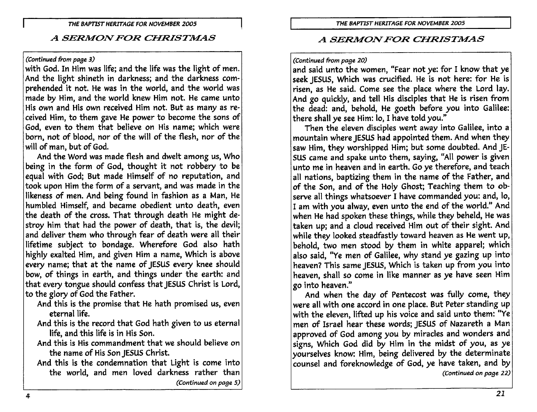#### (Continued from page 3)

with God. In Him was life; and the life was the light of men. And the light shineth in darkness; and the darkness comprehended it not. He was in the world, and the world was made by Him, and the world knew Him not. He came unto His own and His own received Him not. But as many as received Him, to them gave He power to become the sons of God, even to them that believe on His name; which were born, not of blood, nor of the will of the flesh, nor of the will of man, but of God.

And the Word was made flesh and dwelt among us, Who being in the form of God, thought it not robbery to be equal with God; But made Himself of no reputation, and took upon Him the form of a servant, and was made in the likeness of men. And being found in fashion as a Man, He humbled Himself, and became obedient unto death, even the death of the cross. That through death He might destroy him that had the power of death, that is, the devil; and deliver them who through fear of death were all their lifetime subject to bondage. Wherefore God also hath highly exalted Him, and given Him a name, Which is above every name; that at the name of JESUS every knee should bow, of things in earth, and things under the earth: and that every tongue should confess that JESUS Christ is Lord, to the glory of God the Father.

- And this is the promise that He hath promised us, even eternal life.
- And this is the record that God hath given to us eternal life, and this life is in His Son.
- And this is His commandment that we should believe on the name of His Son JESUS Christ.
- And this is the condemnation that Light is come into the world, and men loved darkness rather than (Continued on page 5)

## A SERMON FOR CHRISTMAS

#### (Continued from page 20)

and said unto the women, "Fear not ye: for I know that ye seek JESUS, Which was crucified. He is not here: for He is risen, as He said. Come see the place where the Lord lay. And go quickly, and tell His disciples that He is risen from the dead: and, behold, He goeth before you into Galilee: there shall ye see Him: lo, I have told you."

Then the eleven disciples went away into Galilee, into a mountain where JESUS had appointed them. And when they saw Him, they worshipped Him; but some doubted. And JE-SUS came and spake unto them, saying, "All power is given unto me in heaven and in earth. Go ye therefore, and teach all nations, baptizing them in the name of the Father, and of the Son, and of the Holy Ghost; Teaching them to observe all things whatsoever I have commanded you: and, lo, I am with you alway, even unto the end of the world." And when He had spoken these things, while they beheld, He was taken up; and a cloud received Him out of their sight. And while they looked steadfastly toward heaven as He went up. behold, two men stood by them in white apparel; which also said, "Ye men of Galilee, why stand ye gazing up into heaven? This same JESUS, Which is taken up from you into heaven, shall so come in like manner as ye have seen Him go into heaven."

And when the day of Pentecost was fully come, they were all with one accord in one place. But Peter standing up with the eleven, lifted up his voice and said unto them: "Ye men of Israel hear these words; JESUS of Nazareth a Man approved of God among you by miracles and wonders and signs, Which God did by Him in the midst of you, as ye yourselves know: Him, being delivered by the determinate counsel and foreknowledge of God, ye have taken, and by (Continued on page 22)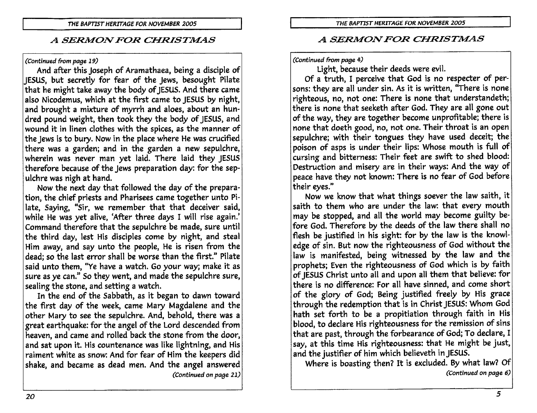#### (Continued from page 19)

And after this Joseph of Aramathaea, being a disciple of JESUS, but secretly for fear of the Jews, besought Pilate that he might take away the body of JESUS. And there came also Nicodemus, which at the first came to JESUS by night, and brought a mixture of myrrh and aloes, about an hundred pound weight, then took they the body of JESUS, and wound it in linen clothes with the spices, as the manner of the Jews is to bury. Now in the place where He was crucified there was a garden; and in the garden a new sepulchre, wherein was never man yet laid. There laid they JESUS therefore because of the Jews preparation day: for the sepulchre was nigh at hand.

Now the next day that followed the day of the preparation, the chief priests and Pharisees came together unto Pilate, Saying, "Sir, we remember that that deceiver said, while He was yet alive, 'After three days I will rise again.' Command therefore that the sepulchre be made, sure until the third day, lest His disciples come by night, and steal Him away, and say unto the people, He is risen from the dead; so the last error shall be worse than the first." Pilate said unto them, "Ye have a watch. Go your way; make it as sure as ye can." So they went, and made the sepulchre sure, sealing the stone, and setting a watch.

In the end of the Sabbath, as it began to dawn toward the first day of the week, came Mary Magdalene and the other Mary to see the sepulchre. And, behold, there was a great earthquake: for the angel of the Lord descended from heaven, and came and rolled back the stone from the door, and sat upon it. His countenance was like lightning, and His raiment white as snow: And for fear of Him the keepers did shake, and became as dead men. And the angel answered (Continued on page 21)

## A SERMON FOR CHRISTMAS

#### (Continued from page 4)

Light, because their deeds were evil.

Of a truth. I perceive that God is no respecter of persons: they are all under sin. As it is written, "There is none righteous, no, not one: There is none that understandeth; there is none that seeketh after God. They are all gone out of the way, they are together become unprofitable; there is none that doeth good, no, not one. Their throat is an open sepulchre; with their tongues they have used deceit; the poison of asps is under their lips: Whose mouth is full of cursing and bitterness: Their feet are swift to shed blood: Destruction and misery are in their ways: And the way of peace have they not known: There is no fear of God before their eves."

Now we know that what things soever the law saith, it saith to them who are under the law: that every mouth may be stopped, and all the world may become guilty before God. Therefore by the deeds of the law there shall no flesh be justified in his sight: for by the law is the knowledge of sin. But now the righteousness of God without the law is manifested, being witnessed by the law and the prophets; Even the righteousness of God which is by faith of IESUS Christ unto all and upon all them that believe: for there is no difference: For all have sinned, and come short of the glory of God; Being justified freely by His grace through the redemption that is in Christ JESUS: Whom God hath set forth to be a propitiation through faith in His blood, to declare His righteousness for the remission of sins that are past, through the forbearance of God; To declare, I say, at this time His righteousness: that He might be just, and the justifier of him which believeth in JESUS.

Where is boasting then? It is excluded. By what law? Of (Continued on page 6)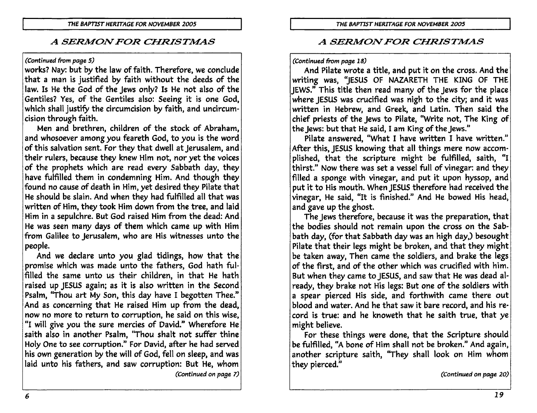#### (Continued from page 5)

works? Nay: but by the law of faith. Therefore, we conclude that a man is justified by faith without the deeds of the law. Is He the God of the Jews only? Is He not also of the Gentiles? Yes, of the Gentiles also: Seeing it is one God, which shall justify the circumcision by faith, and uncircumcision through faith.

Men and brethren, children of the stock of Abraham, and whosoever among you feareth God, to you is the word of this salvation sent. For they that dwell at Jerusalem, and their rulers, because they knew Him not, nor yet the voices of the prophets which are read every Sabbath day, they have fulfilled them in condemning Him. And though they found no cause of death in Him, yet desired they Pilate that He should be slain. And when they had fulfilled all that was written of Him, they took Him down from the tree, and laid Him in a sepulchre. But God raised Him from the dead: And He was seen many days of them which came up with Him from Galilee to Jerusalem, who are His witnesses unto the people.

And we declare unto you glad tidings, how that the promise which was made unto the fathers, God hath fulfilled the same unto us their children, in that He hath raised up JESUS again; as it is also written in the Second Psalm, "Thou art My Son, this day have I begotten Thee." And as concerning that He raised Him up from the dead, now no more to return to corruption, he said on this wise, "I will give you the sure mercies of David." Wherefore He saith also in another Psalm, "Thou shalt not suffer thine Holy One to see corruption." For David, after he had served his own generation by the will of God, fell on sleep, and was laid unto his fathers, and saw corruption: But He, whom (Continued on page 7)

## A SERMON FOR CHRISTMAS

#### (Continued from page 18)

And Pilate wrote a title, and put it on the cross. And the writing was, "JESUS OF NAZARETH THE KING OF THE JEWS." This title then read many of the Jews for the place where JESUS was crucified was nigh to the city; and it was written in Hebrew, and Greek, and Latin. Then said the chief priests of the Jews to Pilate, "Write not, The King of the lews: but that He said, I am King of the Jews."

Pilate answered, "What I have written I have written." After this, JESUS knowing that all things mere now accomplished, that the scripture might be fulfilled, saith, "I thirst." Now there was set a vessel full of vinegar: and they filled a sponge with vinegar, and put it upon hyssop, and put it to His mouth. When JESUS therefore had received the vinegar, He said, "It is finished." And He bowed His head, and gave up the ghost.

The Jews therefore, because it was the preparation, that the bodies should not remain upon the cross on the Sabbath day, (for that Sabbath day was an high day,) besought Pilate that their legs might be broken, and that they might be taken away, Then came the soldiers, and brake the legs of the first, and of the other which was crucified with him. But when they came to JESUS, and saw that He was dead already, they brake not His legs: But one of the soldiers with a spear pierced His side, and forthwith came there out blood and water. And he that saw it bare record, and his record is true: and he knoweth that he saith true, that ye might believe.

For these things were done, that the Scripture should be fulfilled, "A bone of Him shall not be broken." And again, another scripture saith, "They shall look on Him whom they pierced."

(Continued on page 20)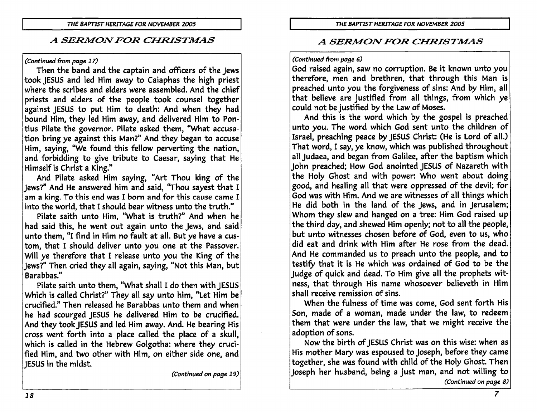#### (Continued from page 17)

Then the band and the captain and officers of the Jews took JESUS and led Him away to Caiaphas the high priest where the scribes and elders were assembled. And the chief priests and elders of the people took counsel together against JESUS to put Him to death: And when they had bound Him, they led Him away, and delivered Him to Pontius Pilate the governor. Pilate asked them, "What accusation bring ye against this Man?" And they began to accuse Him, saying, "We found this fellow perverting the nation, and forbidding to give tribute to Caesar, saying that He Himself is Christ a King."

And Pilate asked Him saying, "Art Thou king of the Jews?" And He answered him and said, "Thou sayest that I am a king. To this end was I born and for this cause came I into the world, that I should bear witness unto the truth."

Pilate saith unto Him, "What is truth?" And when he had said this, he went out again unto the Jews, and said unto them, "I find in Him no fault at all. But ye have a custom, that I should deliver unto you one at the Passover. Will ye therefore that I release unto you the King of the Jews?" Then cried they all again, saying, "Not this Man, but Barabbas."

Pilate saith unto them, "What shall I do then with JESUS Which is called Christ?" They all say unto him, "Let Him be crucified." Then released he Barabbas unto them and when he had scourged JESUS he delivered Him to be crucified. And they took JESUS and led Him away. And. He bearing His cross went forth into a place called the place of a skull, which is called in the Hebrew Golgotha: where they crucified Him, and two other with Him, on either side one, and IESUS in the midst.

(Continued on page 19)

## A SERMON FOR CHRISTMAS

#### (Continued from page 6)

God raised again, saw no corruption. Be it known unto you therefore, men and brethren, that through this Man is preached unto you the forgiveness of sins: And by Him, all that believe are justified from all things, from which ye could not be justified by the Law of Moses.

And this is the word which by the gospel is preached unto you. The word which God sent unto the children of Israel, preaching peace by JESUS Christ: (He is Lord of all.) That word, I say, ye know, which was published throughout all Judaea, and began from Galilee, after the baptism which John preached; How God anointed JESUS of Nazareth with the Holy Ghost and with power: Who went about doing good, and healing all that were oppressed of the devil; for God was with Him. And we are witnesses of all things which He did both in the land of the Jews, and in Jerusalem; Whom they slew and hanged on a tree: Him God raised up the third day, and shewed Him openly; not to all the people, but unto witnesses chosen before of God, even to us, who did eat and drink with Him after He rose from the dead. And He commanded us to preach unto the people, and to testify that it is He which was ordained of God to be the Judge of quick and dead. To Him give all the prophets witness, that through His name whosoever believeth in Him shall receive remission of sins.

When the fulness of time was come, God sent forth His Son, made of a woman, made under the law, to redeem them that were under the law, that we might receive the adoption of sons.

Now the birth of JESUS Christ was on this wise: when as His mother Mary was espoused to Joseph, before they came together, she was found with child of the Holy Ghost. Then Joseph her husband, being a just man, and not willing to (Continued on page 8)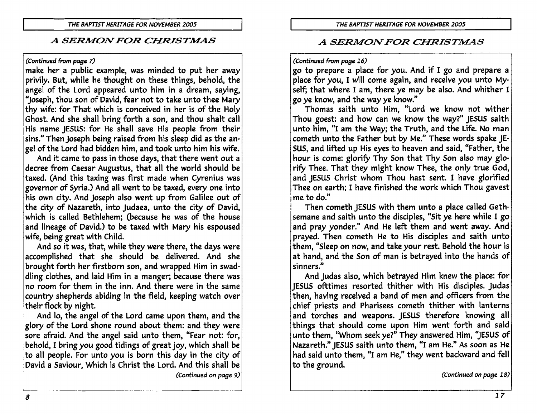#### (Continued from page 7)

make her a public example, was minded to put her away privily. But, while he thought on these things, behold, the angel of the Lord appeared unto him in a dream, saying, "Joseph, thou son of David, fear not to take unto thee Mary thy wife: for That which is conceived in her is of the Holy Ghost. And she shall bring forth a son, and thou shalt call His name JESUS: for He shall save His people from their sins." Then Joseph being raised from his sleep did as the angel of the Lord had bidden him, and took unto him his wife.

And it came to pass in those days, that there went out a decree from Caesar Augustus, that all the world should be taxed. (And this taxing was first made when Cyrenius was governor of Syria.) And all went to be taxed, every one into his own city. And loseph also went up from Galilee out of the city of Nazareth, into Judaea, unto the city of David, which is called Bethlehem: (because he was of the house and lineage of David.) to be taxed with Mary his espoused wife, being great with Child.

And so it was, that, while they were there, the days were accomplished that she should be delivered. And she brought forth her firstborn son, and wrapped Him in swaddling clothes, and laid Him in a manger; because there was no room for them in the inn. And there were in the same country shepherds abiding in the field, keeping watch over their flock by night.

And lo, the angel of the Lord came upon them, and the glory of the Lord shone round about them: and they were sore afraid. And the angel said unto them, "Fear not: for, behold, I bring you good tidings of great joy, which shall be to all people. For unto you is born this day in the city of David a Saviour, Which is Christ the Lord. And this shall be (Continued on page 9)

## A SERMON FOR CHRISTMAS

### (Continued from page 16)

go to prepare a place for you. And if I go and prepare a place for you, I will come again, and receive you unto Myself; that where I am, there ye may be also. And whither I go ye know, and the way ye know."

Thomas saith unto Him, "Lord we know not wither Thou goest: and how can we know the way?" JESUS saith unto him, "I am the Way; the Truth, and the Life. No man cometh unto the Father but by Me." These words spake JE-SUS, and lifted up His eyes to heaven and said, "Father, the hour is come: glorify Thy Son that Thy Son also may glorify Thee. That they might know Thee, the only true God, and JESUS Christ whom Thou hast sent. I have glorified Thee on earth; I have finished the work which Thou gavest me to do."

Then cometh JESUS with them unto a place called Gethsemane and saith unto the disciples, "Sit ye here while I go and pray yonder." And He left them and went away. And prayed. Then cometh He to His disciples and saith unto them, "Sleep on now, and take your rest. Behold the hour is at hand, and the Son of man is betrayed into the hands of sinners."

And Judas also, which betrayed Him knew the place: for JESUS ofttimes resorted thither with His disciples. Judas then, having received a band of men and officers from the chief priests and Pharisees cometh thither with lanterns and torches and weapons. JESUS therefore knowing all things that should come upon Him went forth and said unto them, "Whom seek ye?" They answered Him, "JESUS of Nazareth." IESUS saith unto them, "I am He." As soon as He had said unto them, "I am He," they went backward and fell to the ground.

(Continued on page 18)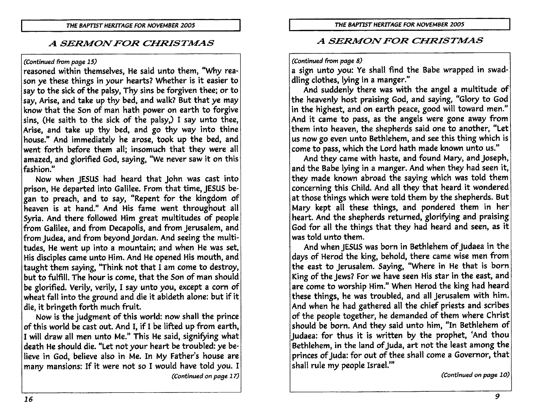#### (Continued from page 15)

reasoned within themselves, He said unto them, "Why reason ye these things in your hearts? Whether is it easier to sav to the sick of the palsy, Thy sins be forgiven thee; or to say, Arise, and take up thy bed, and walk? But that ye may know that the Son of man hath power on earth to forgive sins. (He saith to the sick of the palsy.) I say unto thee, Arise, and take up thy bed, and go thy way into thine house." And immediately he arose, took up the bed, and went forth before them all; insomuch that they were all amazed, and glorified God, saying, "We never saw it on this fashion."

Now when JESUS had heard that John was cast into prison, He departed into Galilee. From that time, JESUS began to preach, and to say, "Repent for the kingdom of heaven is at hand." And His fame went throughout all Syria. And there followed Him great multitudes of people from Galilee, and from Decapolis, and from Jerusalem, and from Judea, and from beyond Jordan. And seeing the multitudes, He went up into a mountain; and when He was set, His disciples came unto Him. And He opened His mouth, and taught them saying, "Think not that I am come to destroy, but to fulfill. The hour is come, that the Son of man should be glorified. Verily, verily, I say unto you, except a corn of wheat fall into the ground and die it abideth alone: but if it die, it bringeth forth much fruit.

Now is the judgment of this world: now shall the prince of this world be cast out. And I, if I be lifted up from earth, I will draw all men unto Me." This He said, signifying what death He should die. "Let not your heart be troubled: ye believe in God, believe also in Me. In My Father's house are many mansions: If it were not so I would have told you. I (Continued on page 17)

## **A SERMON FOR CHRISTMAS**

#### (Continued from page 8)

a sign unto you: Ye shall find the Babe wrapped in swaddling clothes, lying in a manger."

And suddenly there was with the angel a multitude of the heavenly host praising God, and saying, "Glory to God in the highest, and on earth peace, good will toward men." And it came to pass, as the angels were gone away from them into heaven, the shepherds said one to another, "Let us now go even unto Bethlehem, and see this thing which is come to pass, which the Lord hath made known unto us."

And they came with haste, and found Mary, and Joseph, and the Babe lying in a manger. And when they had seen it, they made known abroad the saying which was told them concerning this Child. And all they that heard it wondered at those things which were told them by the shepherds. But Mary kept all these things, and pondered them in her heart. And the shepherds returned, glorifying and praising God for all the things that they had heard and seen, as it was told unto them.

And when JESUS was born in Bethlehem of Judaea in the days of Herod the king, behold, there came wise men from the east to Jerusalem. Saying, "Where in He that is born King of the Jews? For we have seen His star in the east, and are come to worship Him." When Herod the king had heard these things, he was troubled, and all Jerusalem with him. And when he had gathered all the chief priests and scribes of the people together, he demanded of them where Christ should be born. And they said unto him, "In Bethlehem of Judaea: for thus it is written by the prophet, 'And thou Bethlehem, in the land of Juda, art not the least among the princes of Juda: for out of thee shall come a Governor, that shall rule my people Israel."

(Continued on page 10)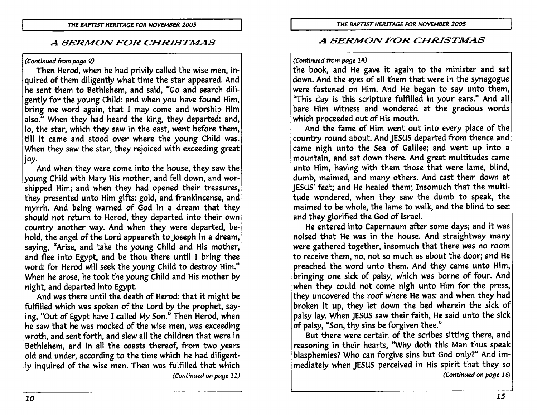(Continued from page 9)

Then Herod, when he had privily called the wise men, inquired of them diligently what time the star appeared. And he sent them to Bethlehem, and said, "Go and search diligently for the young Child: and when you have found Him, bring me word again, that I may come and worship Him also." When they had heard the king, they departed: and, lo, the star, which they saw in the east, went before them, till it came and stood over where the young Child was. When they saw the star, they rejoiced with exceeding great |joy.

And when they were come into the house, they saw the young Child with Mary His mother, and fell down, and worshipped Him; and when they had opened their treasures, they presented unto Him gifts: gold, and frankincense, and myrrh. And being warned of God in a dream that they should not return to Herod, they departed into their own country another way. And when they were departed, behold, the angel of the Lord appeareth to Joseph in a dream, saying, "Arise, and take the young Child and His mother, and flee into Egypt, and be thou there until I bring thee word: for Herod will seek the young Child to destroy Him." When he arose, he took the young Child and His mother by night, and departed into Egypt.

And was there until the death of Herod: that it might be fulfilled which was spoken of the Lord by the prophet, saying, "Out of Egypt have I called My Son." Then Herod, when he saw that he was mocked of the wise men, was exceeding wroth, and sent forth, and slew all the children that were in Bethlehem, and in all the coasts thereof, from two years old and under, according to the time which he had diligently inquired of the wise men. Then was fulfilled that which (Continued on page 11)

## A SERMON FOR CHRISTMAS

#### (Continued from page 14)

the book, and He gave it again to the minister and sat down. And the eyes of all them that were in the synagogue were fastened on Him. And He began to say unto them, "This day is this scripture fulfilled in your ears." And all bare Him witness and wondered at the gracious words which proceeded out of His mouth.

And the fame of Him went out into every place of the country round about. And JESUS departed from thence and came nigh unto the Sea of Galilee; and went up into a mountain, and sat down there. And great multitudes came unto Him, having with them those that were lame, blind, dumb, maimed, and many others. And cast them down at IESUS' feet: and He healed them: Insomuch that the multitude wondered, when they saw the dumb to speak, the maimed to be whole, the lame to walk, and the blind to see: and they glorified the God of Israel.

He entered into Capernaum after some days; and it was noised that He was in the house. And straightway many were gathered together, insomuch that there was no room to receive them, no, not so much as about the door; and He preached the word unto them. And they came unto Him, bringing one sick of palsy, which was borne of four. And when they could not come nigh unto Him for the press, they uncovered the roof where He was: and when they had broken it up, they let down the bed wherein the sick of palsy lay. When JESUS saw their faith, He said unto the sick of palsy, "Son, thy sins be forgiven thee."

But there were certain of the scribes sitting there, and reasoning in their hearts, "Why doth this Man thus speak blasphemies? Who can forgive sins but God only?" And immediately when IESUS perceived in His spirit that they so (Continued on page 16)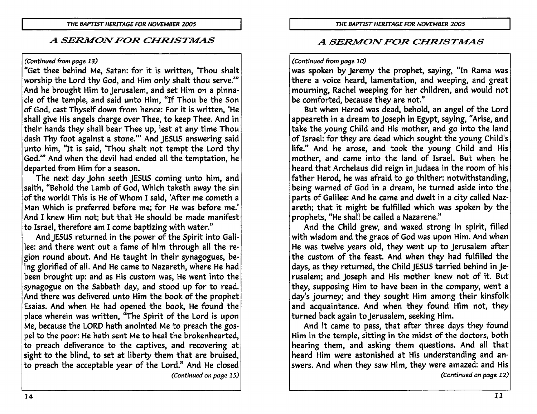#### (Continued from page 13)

"Get thee behind Me. Satan: for it is written, 'Thou shalt worship the Lord thy God, and Him only shalt thou serve." And he brought Him to Jerusalem, and set Him on a pinnacle of the temple, and said unto Him. "If Thou be the Son of God, cast Thyself down from hence: For it is written, 'He shall give His angels charge over Thee, to keep Thee. And in their hands they shall bear Thee up, lest at any time Thou dash Thy foot against a stone." And JESUS answering said unto him, "It is said, 'Thou shalt not tempt the Lord thy God." And when the devil had ended all the temptation, he departed from Him for a season.

The next day John seeth JESUS coming unto him, and saith, "Behold the Lamb of God, Which taketh away the sin of the world! This is He of Whom I said, 'After me cometh a Man Which is preferred before me; for He was before me.' And I knew Him not: but that He should be made manifest to Israel, therefore am I come baptizing with water."

And JESUS returned in the power of the Spirit into Galilee: and there went out a fame of him through all the region round about. And He taught in their synagogues, being glorified of all. And He came to Nazareth, where He had been brought up: and as His custom was, He went into the synagogue on the Sabbath day, and stood up for to read. And there was delivered unto Him the book of the prophet Esaias. And when He had opened the book, He found the place wherein was written, "The Spirit of the Lord is upon Me, because the LORD hath anointed Me to preach the gospel to the poor: He hath sent Me to heal the brokenhearted, to preach deliverance to the captives, and recovering at sight to the blind, to set at liberty them that are bruised, to preach the acceptable year of the Lord." And He closed (Continued on page 15)

## **A SERMON FOR CHRISTMAS**

#### (Continued from page 10)

was spoken by Jeremy the prophet, saying, "In Rama was there a voice heard, lamentation, and weeping, and great mourning, Rachel weeping for her children, and would not be comforted, because they are not."

But when Herod was dead, behold, an angel of the Lord appeareth in a dream to Joseph in Egypt, saying, "Arise, and take the young Child and His mother, and go into the land of Israel: for they are dead which sought the young Child's life." And he arose, and took the young Child and His mother, and came into the land of Israel. But when he heard that Archelaus did reign in Judaea in the room of his father Herod, he was afraid to go thither: notwithstanding, being warned of God in a dream, he turned aside into the parts of Galilee: And he came and dwelt in a city called Nazareth; that it might be fulfilled which was spoken by the prophets, "He shall be called a Nazarene."

And the Child grew, and waxed strong in spirit, filled with wisdom and the grace of God was upon Him. And when He was twelve years old, they went up to jerusalem after the custom of the feast. And when they had fulfilled the days, as they returned, the Child JESUS tarried behind in Jerusalem; and Joseph and His mother knew not of it. But they, supposing Him to have been in the company, went a day's journey; and they sought Him among their kinsfolk and acquaintance. And when they found Him not, they turned back again to Jerusalem, seeking Him.

And it came to pass, that after three days they found Him in the temple, sitting in the midst of the doctors, both hearing them, and asking them questions. And all that heard Him were astonished at His understanding and answers. And when they saw Him, they were amazed: and His (Continued on page 12)